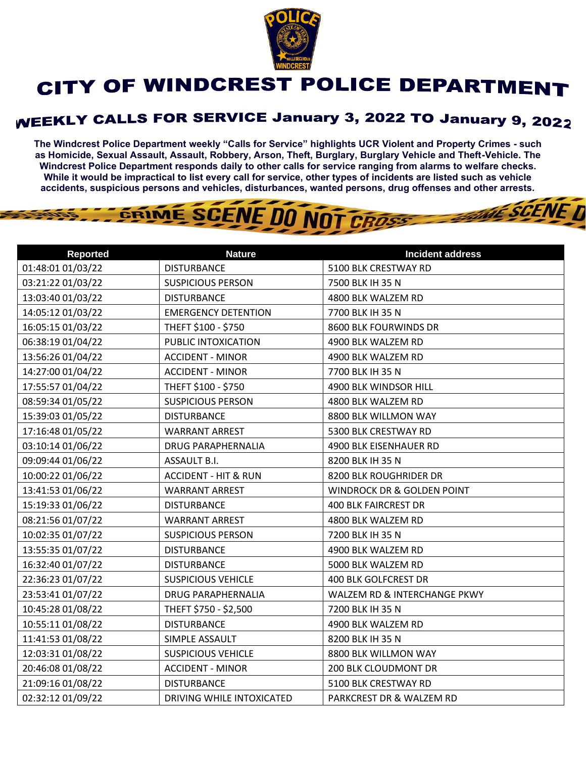

## CITY OF WINDCREST POLICE DEPARTMENT

## **WEEKLY CALLS FOR SERVICE January 3, 2022 TO January 9, 2022**

**The Windcrest Police Department weekly "Calls for Service" highlights UCR Violent and Property Crimes - such as Homicide, Sexual Assault, Assault, Robbery, Arson, Theft, Burglary, Burglary Vehicle and Theft-Vehicle. The Windcrest Police Department responds daily to other calls for service ranging from alarms to welfare checks. While it would be impractical to list every call for service, other types of incidents are listed such as vehicle accidents, suspicious persons and vehicles, disturbances, wanted persons, drug offenses and other arrests.** 

**THE SCENE TI** 



| <b>Reported</b>   | <b>Nature</b>                   | <b>Incident address</b>               |
|-------------------|---------------------------------|---------------------------------------|
| 01:48:01 01/03/22 | <b>DISTURBANCE</b>              | 5100 BLK CRESTWAY RD                  |
| 03:21:22 01/03/22 | <b>SUSPICIOUS PERSON</b>        | 7500 BLK IH 35 N                      |
| 13:03:40 01/03/22 | <b>DISTURBANCE</b>              | 4800 BLK WALZEM RD                    |
| 14:05:12 01/03/22 | <b>EMERGENCY DETENTION</b>      | 7700 BLK IH 35 N                      |
| 16:05:15 01/03/22 | THEFT \$100 - \$750             | 8600 BLK FOURWINDS DR                 |
| 06:38:19 01/04/22 | PUBLIC INTOXICATION             | 4900 BLK WALZEM RD                    |
| 13:56:26 01/04/22 | <b>ACCIDENT - MINOR</b>         | 4900 BLK WALZEM RD                    |
| 14:27:00 01/04/22 | <b>ACCIDENT - MINOR</b>         | 7700 BLK IH 35 N                      |
| 17:55:57 01/04/22 | THEFT \$100 - \$750             | 4900 BLK WINDSOR HILL                 |
| 08:59:34 01/05/22 | <b>SUSPICIOUS PERSON</b>        | 4800 BLK WALZEM RD                    |
| 15:39:03 01/05/22 | <b>DISTURBANCE</b>              | 8800 BLK WILLMON WAY                  |
| 17:16:48 01/05/22 | <b>WARRANT ARREST</b>           | 5300 BLK CRESTWAY RD                  |
| 03:10:14 01/06/22 | <b>DRUG PARAPHERNALIA</b>       | 4900 BLK EISENHAUER RD                |
| 09:09:44 01/06/22 | ASSAULT B.I.                    | 8200 BLK IH 35 N                      |
| 10:00:22 01/06/22 | <b>ACCIDENT - HIT &amp; RUN</b> | 8200 BLK ROUGHRIDER DR                |
| 13:41:53 01/06/22 | <b>WARRANT ARREST</b>           | <b>WINDROCK DR &amp; GOLDEN POINT</b> |
| 15:19:33 01/06/22 | <b>DISTURBANCE</b>              | <b>400 BLK FAIRCREST DR</b>           |
| 08:21:56 01/07/22 | <b>WARRANT ARREST</b>           | 4800 BLK WALZEM RD                    |
| 10:02:35 01/07/22 | <b>SUSPICIOUS PERSON</b>        | 7200 BLK IH 35 N                      |
| 13:55:35 01/07/22 | <b>DISTURBANCE</b>              | 4900 BLK WALZEM RD                    |
| 16:32:40 01/07/22 | <b>DISTURBANCE</b>              | 5000 BLK WALZEM RD                    |
| 22:36:23 01/07/22 | <b>SUSPICIOUS VEHICLE</b>       | <b>400 BLK GOLFCREST DR</b>           |
| 23:53:41 01/07/22 | <b>DRUG PARAPHERNALIA</b>       | WALZEM RD & INTERCHANGE PKWY          |
| 10:45:28 01/08/22 | THEFT \$750 - \$2,500           | 7200 BLK IH 35 N                      |
| 10:55:11 01/08/22 | <b>DISTURBANCE</b>              | 4900 BLK WALZEM RD                    |
| 11:41:53 01/08/22 | SIMPLE ASSAULT                  | 8200 BLK IH 35 N                      |
| 12:03:31 01/08/22 | <b>SUSPICIOUS VEHICLE</b>       | 8800 BLK WILLMON WAY                  |
| 20:46:08 01/08/22 | <b>ACCIDENT - MINOR</b>         | 200 BLK CLOUDMONT DR                  |
| 21:09:16 01/08/22 | <b>DISTURBANCE</b>              | 5100 BLK CRESTWAY RD                  |
| 02:32:12 01/09/22 | DRIVING WHILE INTOXICATED       | PARKCREST DR & WALZEM RD              |